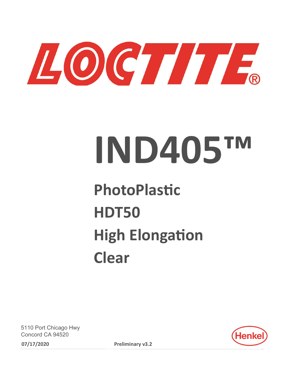

# **IND405™**

## **PhotoPlastic HDT50 High Elongation Clear**

5110 Port Chicago Hwy Concord CA 94520 **07/17/2020 Preliminary v3.2**

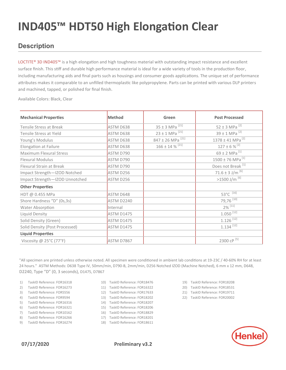#### **Description**

LOCTITE® 3D IND405<sup>™</sup> is a high elongation and high toughness material with outstanding impact resistance and excellent surface finish. This stiff and durable high performance material is ideal for a wide variety of tools in the production floor, including manufacturing aids and final parts such as housings and consumer goods applications. The unique set of performance attributes makes it comparable to an unfilled thermoplastic like polypropylene. Parts can be printed with various DLP printers and machined, tapped, or polished for final finish.

Available Colors: Black, Clear

| <b>Mechanical Properties</b>   | <b>Method</b>     | Green                                                  | <b>Post Processed</b>                |  |  |
|--------------------------------|-------------------|--------------------------------------------------------|--------------------------------------|--|--|
| Tensile Stress at Break        | ASTM D638         | $35 \pm 3$ MPa <sup><math>\overline{[21]}</math></sup> | $52 \pm 3$ MPa <sup>[2]</sup>        |  |  |
| Tensile Stress at Yield        | ASTM D638         | $23 \pm 1$ MPa <sup>[21]</sup>                         | $39 \pm 1$ MPa <sup>[2]</sup>        |  |  |
| Young's Modulus                | ASTM D638         | 847 ± 26 MPa <sup>[21]</sup>                           | $1378 \pm 41$ MPa <sup>[2]</sup>     |  |  |
| <b>Elongation at Failure</b>   | ASTM D638         | $166 \pm 14$ % <sup>[21]</sup>                         | $127 \pm 6 \frac{1}{2}$              |  |  |
| Maximum Flexural Stress        | ASTM D790         |                                                        | 69 ± 2 MPa <sup>[1]</sup>            |  |  |
| <b>Flexural Modulus</b>        | ASTM D790         |                                                        | $1500 \pm 76$ MPa <sup>[1]</sup>     |  |  |
| Flexural Strain at Break       | ASTM D790         |                                                        | Does not Break <sup>[1]</sup>        |  |  |
| Impact Strength-IZOD Notched   | ASTM D256         |                                                        | 71.6 ± 3 J/m $^{[6]}$                |  |  |
| Impact Strength-IZOD Unnotched | ASTM D256         |                                                        | $>1500$ J/m $^{[6]}$                 |  |  |
| <b>Other Properties</b>        |                   |                                                        |                                      |  |  |
| HDT @ 0.455 MPa                | ASTM D648         |                                                        | 53 $^{\circ}$ C $\overline{^{[16]}}$ |  |  |
| Shore Hardness "D" (0s,3s)     | ASTM D2240        |                                                        | 79,76 $\overline{100}$               |  |  |
| Water Absorption               | Internal          |                                                        | $2\%$ <sup>[11]</sup>                |  |  |
| Liquid Density                 | <b>ASTM D1475</b> |                                                        | $1.050^{[12]}$                       |  |  |
| Solid Density (Green)          | <b>ASTM D1475</b> |                                                        | $1.126$ <sup>[12]</sup>              |  |  |
| Solid Density (Post Processed) | <b>ASTM D1475</b> |                                                        | $1.134$ <sup>[12]</sup>              |  |  |
| <b>Liquid Properties</b>       |                   |                                                        |                                      |  |  |
| Viscosity @ 25°C (77°F)        | ASTM D7867        |                                                        | 2300 cP [5]                          |  |  |

"All specimen are printed unless otherwise noted. All specimen were conditioned in ambient lab conditions at 19-23C / 40-60% RH for at least 24 hours." ASTM Methods: D638 Type IV, 50mm/min, D790-B, 2mm/min, D256 Notched IZOD (Machine Notched), 6 mm x 12 mm, D648, D2240, Type "D" (0, 3 seconds), D1475, D7867

- 1) TaskID Reference: FOR16318
- 2) TaskID Reference: FOR16273
- 3) TaskID Reference: FOR5556
- 4) TaskID Reference: FOR9594
- 5) TaskID Reference: FOR16316
- 6) TaskID Reference: FOR16321 7) TaskID Reference: FOR10162
- 8) TaskID Reference: FOR16266
- 9) TaskID Reference: FOR16274
- 10) TaskID Reference: FOR18476
- 11) TaskID Reference: FOR16322
- 12) TaskID Reference: FOR17633
- 13) TaskID Reference: FOR18202
- 14) TaskID Reference: FOR18207
- 15) TaskID Reference: FOR18206
- 16) TaskID Reference: FOR18829
- 17) TaskID Reference: FOR18201
- 18) TaskID Reference: FOR18611
- 19) TaskID Reference: FOR18208
- 20) TaskID Reference: FOR18531
- 21) TaskID Reference: FOR19711 22) TaskID Reference: FOR20002

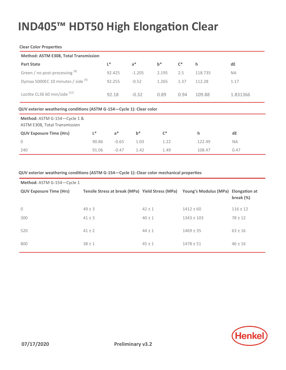#### **Clear Color Properties**

| Method: ASTM E308, Total Transmission                                |       |         |          |       |                |         |           |  |
|----------------------------------------------------------------------|-------|---------|----------|-------|----------------|---------|-----------|--|
| <b>Part State</b>                                                    |       | L*      | $a^*$    | $b^*$ | $\mathsf{C}^*$ | h       | dE        |  |
| Green / no post-processing [8]                                       |       | 92.425  | $-1.205$ | 2.195 | 2.5            | 118.735 | <b>NA</b> |  |
| Dymax 5000EC 10 minutes / side [9]                                   |       | 92.255  | $-0.52$  | 1.265 | 1.37           | 112.28  | 1.17      |  |
| Loctite CL36 60 min/side [22]                                        |       | 92.18   | $-0.32$  | 0.89  | 109.88<br>0.94 |         | 1.831366  |  |
| QUV exterior weathering conditions (ASTM G-154-Cycle 1): Clear color |       |         |          |       |                |         |           |  |
| Method: ASTM G-154-Cycle 1 &<br>ASTM E308, Total Transmission        |       |         |          |       |                |         |           |  |
| <b>QUV Exposure Time (Hrs)</b>                                       | L*    | $a^*$   | $b^*$    | $C^*$ |                | h       | dE        |  |
| $\mathbf 0$                                                          | 90.86 | $-0.65$ | 1.03     | 1.22  |                | 122.49  | NA.       |  |
| 240                                                                  | 91.06 | $-0.47$ | 1.42     | 1.49  |                | 108.47  | 0.47      |  |

#### **QUV exterior weathering conditions (ASTM G-154—Cycle 1): Clear color mechanical properties**

| Method: ASTM G-154-Cycle 1     |                                                                                      |            |                |              |
|--------------------------------|--------------------------------------------------------------------------------------|------------|----------------|--------------|
| <b>QUV Exposure Time (Hrs)</b> | Tensile Stress at break (MPa) Yield Stress (MPa) Young's Modulus (MPa) Elongation at |            |                | break $(%)$  |
| $\mathbf{0}$                   | $49 \pm 3$                                                                           | $42 \pm 1$ | $1412 \pm 60$  | $116 \pm 12$ |
| 300                            | $41 \pm 3$                                                                           | $40 \pm 1$ | $1343 \pm 103$ | $78 \pm 12$  |
| 520                            | $41 \pm 2$                                                                           | $44 \pm 1$ | $1469 \pm 35$  | $63 \pm 16$  |
| 800                            | $38 \pm 1$                                                                           | $45 \pm 1$ | $1478 \pm 51$  | $46 \pm 16$  |

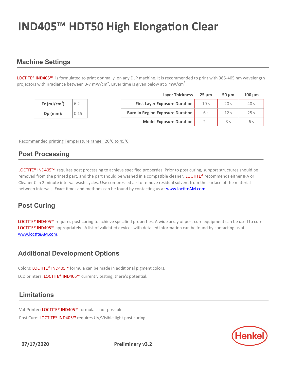#### **Machine Settings**

LOCTITE® IND405™ is formulated to print optimally on any DLP machine. It is recommended to print with 385-405 nm wavelength projectors with irradiance between 3-7 mW/cm<sup>2</sup>. Layer time is given below at 5 mW/cm<sup>2</sup>:

|               |      | <b>Layer Thickness</b>                  | 25 um           | $50 \mu m$      | $100 \mu m$     |
|---------------|------|-----------------------------------------|-----------------|-----------------|-----------------|
| Ec $(mJ/cm2)$ | 6.2  | <b>First Layer Exposure Duration</b>    | 10 <sub>s</sub> | 20 <sub>s</sub> | 40 <sub>s</sub> |
| $Dp$ (mm):    | 0.15 | <b>Burn In Region Exposure Duration</b> | 6 s             |                 | 25 <sub>s</sub> |
|               |      | <b>Model Exposure Duration</b>          |                 |                 | 6 s             |

Recommended printing Temperature range: 20°C to 45°C

#### **Post Processing**

LOCTITE® IND405™ requires post processing to achieve specified properties. Prior to post curing, support structures should be removed from the printed part, and the part should be washed in a compatible cleaner. LOCTITE<sup>®</sup> recommends either IPA or Cleaner C in 2 minute interval wash cycles. Use compressed air to remove residual solvent from the surface of the material between intervals. Exact times and methods can be found by contacting us at [www.loctiteAM.com.](http://www.loctiteam.com/)

#### **Post Curing**

LOCTITE® IND405™ requires post curing to achieve specified properties. A wide array of post cure equipment can be used to cure LOCTITE® IND405™ appropriately. A list of validated devices with detailed information can be found by contacting us at [www.loctiteAM.com.](http://www.loctiteam.com/)

#### **Additional Development Options**

Colors: LOCTITE® IND405™ formula can be made in additional pigment colors.

LCD printers: LOCTITE® IND405™ currently testing, there's potential.

#### **Limitations**

Vat Printer: LOCTITE® IND405™ formula is not possible. Post Cure: LOCTITE® IND405™ requires UV/Visible light post curing.